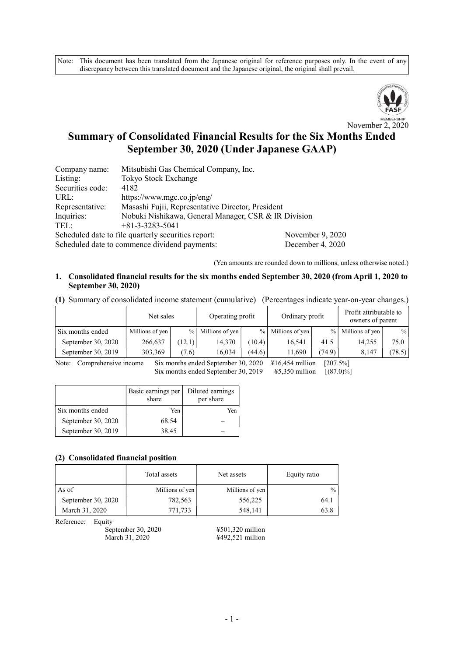Note: This document has been translated from the Japanese original for reference purposes only. In the event of any discrepancy between this translated document and the Japanese original, the original shall prevail.



# Summary of Consolidated Financial Results for the Six Months Ended September 30, 2020 (Under Japanese GAAP)

| Company name:                                                           | Mitsubishi Gas Chemical Company, Inc.                |  |  |  |  |
|-------------------------------------------------------------------------|------------------------------------------------------|--|--|--|--|
| Listing:                                                                | <b>Tokyo Stock Exchange</b>                          |  |  |  |  |
| Securities code:                                                        | 4182                                                 |  |  |  |  |
| URL:                                                                    | https://www.mgc.co.jp/eng/                           |  |  |  |  |
| Representative:                                                         | Masashi Fujii, Representative Director, President    |  |  |  |  |
| Inquiries:                                                              | Nobuki Nishikawa, General Manager, CSR & IR Division |  |  |  |  |
| TEL:                                                                    | $+81-3-3283-5041$                                    |  |  |  |  |
| November 9, 2020<br>Scheduled date to file quarterly securities report: |                                                      |  |  |  |  |
| Scheduled date to commence dividend payments:<br>December 4, 2020       |                                                      |  |  |  |  |

(Yen amounts are rounded down to millions, unless otherwise noted.)

#### 1. Consolidated financial results for the six months ended September 30, 2020 (from April 1, 2020 to September 30, 2020)

(1) Summary of consolidated income statement (cumulative) (Percentages indicate year-on-year changes.)

|                    | Net sales       |        | Operating profit |        | Ordinary profit     |                 | Profit attributable to<br>owners of parent |        |
|--------------------|-----------------|--------|------------------|--------|---------------------|-----------------|--------------------------------------------|--------|
| Six months ended   | Millions of yen | $\%$   | Millions of yen  |        | $%$ Millions of yen | $\frac{9}{6}$ 1 | Millions of yen                            | $\%$   |
| September 30, 2020 | 266,637         | (12.1) | 14.370           | (10.4) | 16.541              | 41.5            | 14.255                                     | 75.0   |
| September 30, 2019 | 303,369         | (7.6)  | 16.034           | (44.6) | 11,690              | (74.9)          | 8,147                                      | (78.5) |

Note: Comprehensive income Six months ended September 30, 2020 \integrated 416,454 million [207.5%] Six months ended September 30, 2019  $\quad$  ¥5,350 million [(87.0)%]

|                    | Basic earnings per<br>share | Diluted earnings<br>per share |
|--------------------|-----------------------------|-------------------------------|
| Six months ended   | Yen                         | Yen                           |
| September 30, 2020 | 68.54                       |                               |
| September 30, 2019 | 38.45                       |                               |

#### (2) Consolidated financial position

|                    | Total assets    | Net assets      | Equity ratio  |  |
|--------------------|-----------------|-----------------|---------------|--|
| As of              | Millions of yen | Millions of yen | $\frac{0}{0}$ |  |
| September 30, 2020 | 782,563         | 556,225         | 64.1          |  |
| March 31, 2020     | 771,733         | 548,141         | 63.8          |  |

Reference: Equity

September 30, 2020<br>March 31, 2020<br>
+492,521 million

¥492,521 million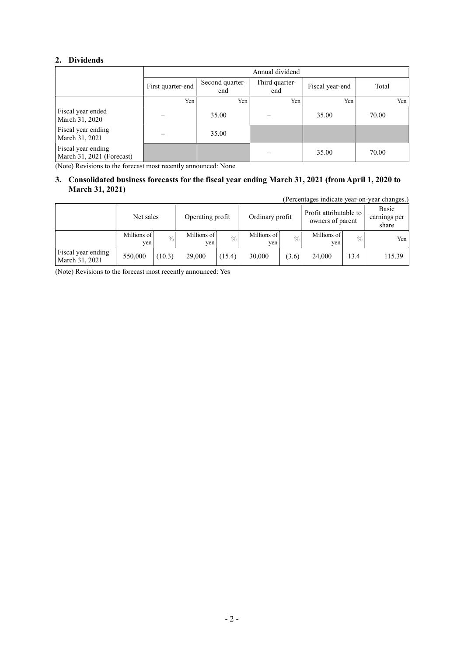## 2. Dividends

|                                                 |                   | Annual dividend        |                       |                 |       |  |  |  |
|-------------------------------------------------|-------------------|------------------------|-----------------------|-----------------|-------|--|--|--|
|                                                 | First quarter-end | Second quarter-<br>end | Third quarter-<br>end | Fiscal year-end | Total |  |  |  |
|                                                 | Yen               | Yen                    | Yen                   | Yen             | Yen   |  |  |  |
| Fiscal year ended<br>March 31, 2020             |                   | 35.00                  |                       | 35.00           | 70.00 |  |  |  |
| Fiscal year ending<br>March 31, 2021            |                   | 35.00                  |                       |                 |       |  |  |  |
| Fiscal year ending<br>March 31, 2021 (Forecast) |                   |                        |                       | 35.00           | 70.00 |  |  |  |

(Note) Revisions to the forecast most recently announced: None

## 3. Consolidated business forecasts for the fiscal year ending March 31, 2021 (from April 1, 2020 to March 31, 2021)

(Percentages indicate year-on-year changes.)

|                                      | Net sales            |               | Operating profit   |               | Ordinary profit    |               | Profit attributable to<br>owners of parent |               | Basic<br>earnings per<br>share |
|--------------------------------------|----------------------|---------------|--------------------|---------------|--------------------|---------------|--------------------------------------------|---------------|--------------------------------|
|                                      | Millions of<br>ven i | $\frac{0}{0}$ | Millions of<br>ven | $\frac{0}{0}$ | Millions of<br>yen | $\frac{0}{0}$ | Millions of<br>ven                         | $\frac{0}{0}$ | Yen                            |
| Fiscal year ending<br>March 31, 2021 | 550,000              | (10.3)        | 29,000             | (15.4)        | 30,000             | (3.6)         | 24,000                                     | 13.4          | 115.39                         |

(Note) Revisions to the forecast most recently announced: Yes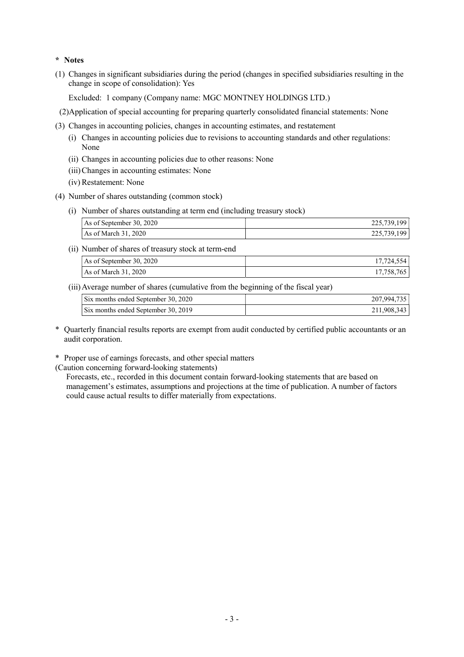## \* Notes

(1) Changes in significant subsidiaries during the period (changes in specified subsidiaries resulting in the change in scope of consolidation): Yes

Excluded: 1 company (Company name: MGC MONTNEY HOLDINGS LTD.)

- (2)Application of special accounting for preparing quarterly consolidated financial statements: None
- (3) Changes in accounting policies, changes in accounting estimates, and restatement
	- (i) Changes in accounting policies due to revisions to accounting standards and other regulations: None
	- (ii) Changes in accounting policies due to other reasons: None
	- (iii)Changes in accounting estimates: None
	- (iv) Restatement: None
- (4) Number of shares outstanding (common stock)
	- (i) Number of shares outstanding at term end (including treasury stock)

| As of September 30, 2020 | 225,739,199 |
|--------------------------|-------------|
| As of March 31, 2020     | 225,739,199 |

(ii) Number of shares of treasury stock at term-end

| As of September 30, 2020 | $11,127,00$ . |
|--------------------------|---------------|
| As of March 31, 2020     | 17.758.76     |

(iii)Average number of shares (cumulative from the beginning of the fiscal year)

| Six months ended September 30, 2020 | 207.994.735 |
|-------------------------------------|-------------|
| Six months ended September 30, 2019 | 211,908,343 |

\* Quarterly financial results reports are exempt from audit conducted by certified public accountants or an audit corporation.

\* Proper use of earnings forecasts, and other special matters

(Caution concerning forward-looking statements)

 Forecasts, etc., recorded in this document contain forward-looking statements that are based on management's estimates, assumptions and projections at the time of publication. A number of factors could cause actual results to differ materially from expectations.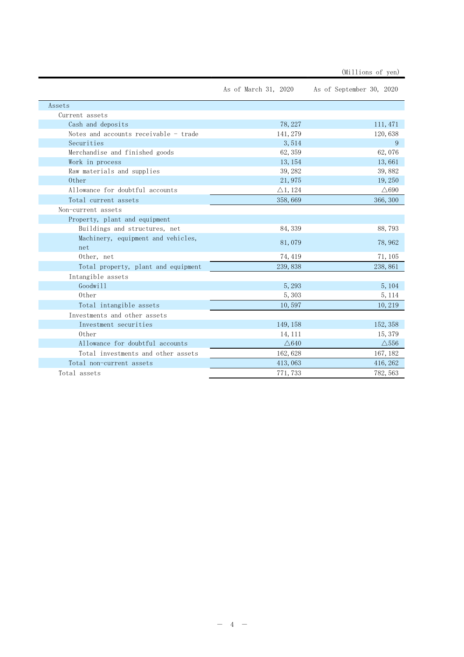|                                       | As of March 31, 2020 | As of September 30, 2020 |
|---------------------------------------|----------------------|--------------------------|
| Assets                                |                      |                          |
| Current assets                        |                      |                          |
| Cash and deposits                     | 78, 227              | 111, 471                 |
| Notes and accounts receivable - trade | 141, 279             | 120,638                  |
| Securities                            | 3,514                | 9                        |
| Merchandise and finished goods        | 62, 359              | 62,076                   |
| Work in process                       | 13, 154              | 13,661                   |
| Raw materials and supplies            | 39, 282              | 39,882                   |
| 0ther                                 | 21,975               | 19,250                   |
| Allowance for doubtful accounts       | $\triangle$ 1, 124   | $\triangle$ 690          |
| Total current assets                  | 358,669              | 366, 300                 |
| Non-current assets                    |                      |                          |
| Property, plant and equipment         |                      |                          |
| Buildings and structures, net         | 84, 339              | 88,793                   |
| Machinery, equipment and vehicles,    | 81,079               | 78,962                   |
| net                                   |                      |                          |
| Other, net                            | 74, 419              | 71, 105                  |
| Total property, plant and equipment   | 239,838              | 238, 861                 |
| Intangible assets                     |                      |                          |
| Goodwill                              | 5, 293               | 5, 104                   |
| 0ther                                 | 5, 303               | 5, 114                   |
| Total intangible assets               | 10,597               | 10,219                   |
| Investments and other assets          |                      |                          |
| Investment securities                 | 149, 158             | 152, 358                 |
| 0ther                                 | 14, 111              | 15, 379                  |
| Allowance for doubtful accounts       | $\triangle$ 640      | $\triangle$ 556          |
| Total investments and other assets    | 162, 628             | 167, 182                 |
| Total non-current assets              | 413,063              | 416, 262                 |
| Total assets                          | 771, 733             | 782, 563                 |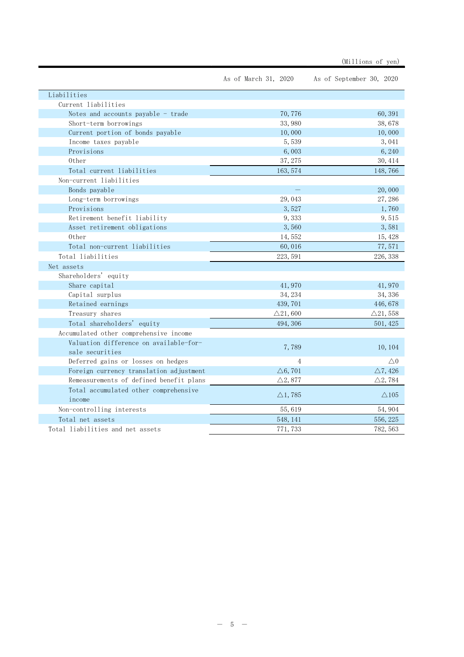|                                         | As of March 31, 2020 | As of September 30, 2020 |
|-----------------------------------------|----------------------|--------------------------|
| Liabilities                             |                      |                          |
| Current liabilities                     |                      |                          |
| Notes and accounts payable $-$ trade    | 70,776               | 60,391                   |
| Short-term borrowings                   | 33,980               | 38,678                   |
| Current portion of bonds payable        | 10,000               | 10,000                   |
| Income taxes payable                    | 5,539                | 3,041                    |
| Provisions                              | 6,003                | 6,240                    |
| 0ther                                   | 37, 275              | 30, 414                  |
| Total current liabilities               | 163, 574             | 148,766                  |
| Non-current liabilities                 |                      |                          |
| Bonds payable                           |                      | 20,000                   |
| Long-term borrowings                    | 29,043               | 27,286                   |
| Provisions                              | 3,527                | 1,760                    |
| Retirement benefit liability            | 9,333                | 9,515                    |
| Asset retirement obligations            | 3,560                | 3,581                    |
| 0ther                                   | 14, 552              | 15, 428                  |
| Total non-current liabilities           | 60,016               | 77,571                   |
| Total liabilities                       | 223, 591             | 226, 338                 |
| Net assets                              |                      |                          |
| Shareholders' equity                    |                      |                          |
| Share capital                           | 41,970               | 41,970                   |
| Capital surplus                         | 34, 234              | 34, 336                  |
| Retained earnings                       | 439, 701             | 446,678                  |
| Treasury shares                         | $\triangle$ 21,600   | $\triangle$ 21, 558      |
| Total shareholders' equity              | 494, 306             | 501, 425                 |
| Accumulated other comprehensive income  |                      |                          |
| Valuation difference on available-for-  |                      |                          |
| sale securities                         | 7,789                | 10, 104                  |
| Deferred gains or losses on hedges      | $\overline{4}$       | $\triangle 0$            |
| Foreign currency translation adjustment | $\triangle 6, 701$   | $\triangle$ 7, 426       |
| Remeasurements of defined benefit plans | $\triangle 2,877$    | $\triangle 2$ , 784      |
| Total accumulated other comprehensive   |                      |                          |
| income                                  | $\triangle$ 1, 785   | $\triangle$ 105          |
| Non-controlling interests               | 55,619               | 54,904                   |
| Total net assets                        | 548, 141             | 556, 225                 |
| Total liabilities and net assets        | 771, 733             | 782, 563                 |

(Millions of yen)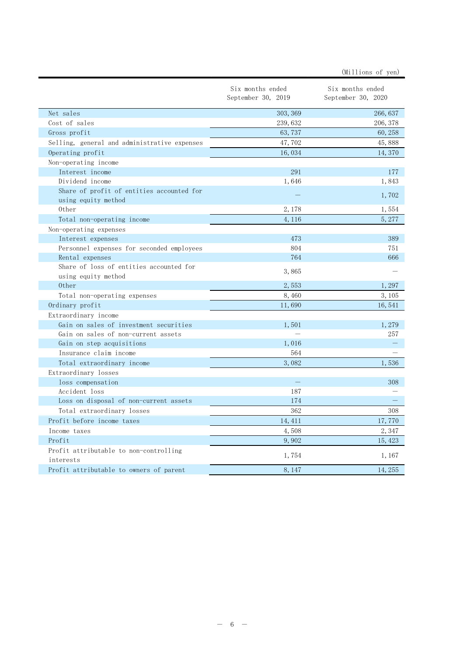| Six months ended<br>Six months ended<br>September 30, 2019<br>September 30, 2020<br>Net sales<br>303, 369<br>266, 637<br>Cost of sales<br>239, 632<br>206, 378<br>Gross profit<br>63, 737<br>60, 258<br>Selling, general and administrative expenses<br>47,702<br>45,888<br>16,034<br>14,370<br>Operating profit<br>Non-operating income<br>Interest income<br>291<br>177<br>Dividend income<br>1,646<br>1,843<br>Share of profit of entities accounted for<br>1,702<br>using equity method<br>0ther<br>2,178<br>1,554<br>Total non-operating income<br>4, 116<br>5, 277<br>Non-operating expenses<br>473<br>389<br>Interest expenses<br>804<br>751<br>Personnel expenses for seconded employees<br>764<br>666<br>Rental expenses<br>Share of loss of entities accounted for<br>3,865<br>using equity method<br>0ther<br>2,553<br>1,297<br>Total non-operating expenses<br>3, 105<br>8,460<br>Ordinary profit<br>11,690<br>16, 541<br>Extraordinary income<br>Gain on sales of investment securities<br>1,501<br>1,279<br>Gain on sales of non-current assets<br>257<br>Gain on step acquisitions<br>1,016<br>Insurance claim income<br>564<br>3,082<br>Total extraordinary income<br>1,536<br>Extraordinary losses<br>loss compensation<br>308<br>Accident loss<br>187<br>Loss on disposal of non-current assets<br>174<br>362<br>308<br>Total extraordinary losses<br>Profit before income taxes<br>14, 411<br>17,770<br>Income taxes<br>4,508<br>2,347<br>Profit<br>9,902<br>15, 423<br>Profit attributable to non-controlling<br>1,754<br>1, 167<br>interests<br>Profit attributable to owners of parent<br>8, 147<br>14, 255 |  |  |
|-----------------------------------------------------------------------------------------------------------------------------------------------------------------------------------------------------------------------------------------------------------------------------------------------------------------------------------------------------------------------------------------------------------------------------------------------------------------------------------------------------------------------------------------------------------------------------------------------------------------------------------------------------------------------------------------------------------------------------------------------------------------------------------------------------------------------------------------------------------------------------------------------------------------------------------------------------------------------------------------------------------------------------------------------------------------------------------------------------------------------------------------------------------------------------------------------------------------------------------------------------------------------------------------------------------------------------------------------------------------------------------------------------------------------------------------------------------------------------------------------------------------------------------------------------------------------------------------------------------------------------------|--|--|
|                                                                                                                                                                                                                                                                                                                                                                                                                                                                                                                                                                                                                                                                                                                                                                                                                                                                                                                                                                                                                                                                                                                                                                                                                                                                                                                                                                                                                                                                                                                                                                                                                                   |  |  |
|                                                                                                                                                                                                                                                                                                                                                                                                                                                                                                                                                                                                                                                                                                                                                                                                                                                                                                                                                                                                                                                                                                                                                                                                                                                                                                                                                                                                                                                                                                                                                                                                                                   |  |  |
|                                                                                                                                                                                                                                                                                                                                                                                                                                                                                                                                                                                                                                                                                                                                                                                                                                                                                                                                                                                                                                                                                                                                                                                                                                                                                                                                                                                                                                                                                                                                                                                                                                   |  |  |
|                                                                                                                                                                                                                                                                                                                                                                                                                                                                                                                                                                                                                                                                                                                                                                                                                                                                                                                                                                                                                                                                                                                                                                                                                                                                                                                                                                                                                                                                                                                                                                                                                                   |  |  |
|                                                                                                                                                                                                                                                                                                                                                                                                                                                                                                                                                                                                                                                                                                                                                                                                                                                                                                                                                                                                                                                                                                                                                                                                                                                                                                                                                                                                                                                                                                                                                                                                                                   |  |  |
|                                                                                                                                                                                                                                                                                                                                                                                                                                                                                                                                                                                                                                                                                                                                                                                                                                                                                                                                                                                                                                                                                                                                                                                                                                                                                                                                                                                                                                                                                                                                                                                                                                   |  |  |
|                                                                                                                                                                                                                                                                                                                                                                                                                                                                                                                                                                                                                                                                                                                                                                                                                                                                                                                                                                                                                                                                                                                                                                                                                                                                                                                                                                                                                                                                                                                                                                                                                                   |  |  |
|                                                                                                                                                                                                                                                                                                                                                                                                                                                                                                                                                                                                                                                                                                                                                                                                                                                                                                                                                                                                                                                                                                                                                                                                                                                                                                                                                                                                                                                                                                                                                                                                                                   |  |  |
|                                                                                                                                                                                                                                                                                                                                                                                                                                                                                                                                                                                                                                                                                                                                                                                                                                                                                                                                                                                                                                                                                                                                                                                                                                                                                                                                                                                                                                                                                                                                                                                                                                   |  |  |
|                                                                                                                                                                                                                                                                                                                                                                                                                                                                                                                                                                                                                                                                                                                                                                                                                                                                                                                                                                                                                                                                                                                                                                                                                                                                                                                                                                                                                                                                                                                                                                                                                                   |  |  |
|                                                                                                                                                                                                                                                                                                                                                                                                                                                                                                                                                                                                                                                                                                                                                                                                                                                                                                                                                                                                                                                                                                                                                                                                                                                                                                                                                                                                                                                                                                                                                                                                                                   |  |  |
|                                                                                                                                                                                                                                                                                                                                                                                                                                                                                                                                                                                                                                                                                                                                                                                                                                                                                                                                                                                                                                                                                                                                                                                                                                                                                                                                                                                                                                                                                                                                                                                                                                   |  |  |
|                                                                                                                                                                                                                                                                                                                                                                                                                                                                                                                                                                                                                                                                                                                                                                                                                                                                                                                                                                                                                                                                                                                                                                                                                                                                                                                                                                                                                                                                                                                                                                                                                                   |  |  |
|                                                                                                                                                                                                                                                                                                                                                                                                                                                                                                                                                                                                                                                                                                                                                                                                                                                                                                                                                                                                                                                                                                                                                                                                                                                                                                                                                                                                                                                                                                                                                                                                                                   |  |  |
|                                                                                                                                                                                                                                                                                                                                                                                                                                                                                                                                                                                                                                                                                                                                                                                                                                                                                                                                                                                                                                                                                                                                                                                                                                                                                                                                                                                                                                                                                                                                                                                                                                   |  |  |
|                                                                                                                                                                                                                                                                                                                                                                                                                                                                                                                                                                                                                                                                                                                                                                                                                                                                                                                                                                                                                                                                                                                                                                                                                                                                                                                                                                                                                                                                                                                                                                                                                                   |  |  |
|                                                                                                                                                                                                                                                                                                                                                                                                                                                                                                                                                                                                                                                                                                                                                                                                                                                                                                                                                                                                                                                                                                                                                                                                                                                                                                                                                                                                                                                                                                                                                                                                                                   |  |  |
|                                                                                                                                                                                                                                                                                                                                                                                                                                                                                                                                                                                                                                                                                                                                                                                                                                                                                                                                                                                                                                                                                                                                                                                                                                                                                                                                                                                                                                                                                                                                                                                                                                   |  |  |
|                                                                                                                                                                                                                                                                                                                                                                                                                                                                                                                                                                                                                                                                                                                                                                                                                                                                                                                                                                                                                                                                                                                                                                                                                                                                                                                                                                                                                                                                                                                                                                                                                                   |  |  |
|                                                                                                                                                                                                                                                                                                                                                                                                                                                                                                                                                                                                                                                                                                                                                                                                                                                                                                                                                                                                                                                                                                                                                                                                                                                                                                                                                                                                                                                                                                                                                                                                                                   |  |  |
|                                                                                                                                                                                                                                                                                                                                                                                                                                                                                                                                                                                                                                                                                                                                                                                                                                                                                                                                                                                                                                                                                                                                                                                                                                                                                                                                                                                                                                                                                                                                                                                                                                   |  |  |
|                                                                                                                                                                                                                                                                                                                                                                                                                                                                                                                                                                                                                                                                                                                                                                                                                                                                                                                                                                                                                                                                                                                                                                                                                                                                                                                                                                                                                                                                                                                                                                                                                                   |  |  |
|                                                                                                                                                                                                                                                                                                                                                                                                                                                                                                                                                                                                                                                                                                                                                                                                                                                                                                                                                                                                                                                                                                                                                                                                                                                                                                                                                                                                                                                                                                                                                                                                                                   |  |  |
|                                                                                                                                                                                                                                                                                                                                                                                                                                                                                                                                                                                                                                                                                                                                                                                                                                                                                                                                                                                                                                                                                                                                                                                                                                                                                                                                                                                                                                                                                                                                                                                                                                   |  |  |
|                                                                                                                                                                                                                                                                                                                                                                                                                                                                                                                                                                                                                                                                                                                                                                                                                                                                                                                                                                                                                                                                                                                                                                                                                                                                                                                                                                                                                                                                                                                                                                                                                                   |  |  |
|                                                                                                                                                                                                                                                                                                                                                                                                                                                                                                                                                                                                                                                                                                                                                                                                                                                                                                                                                                                                                                                                                                                                                                                                                                                                                                                                                                                                                                                                                                                                                                                                                                   |  |  |
|                                                                                                                                                                                                                                                                                                                                                                                                                                                                                                                                                                                                                                                                                                                                                                                                                                                                                                                                                                                                                                                                                                                                                                                                                                                                                                                                                                                                                                                                                                                                                                                                                                   |  |  |
|                                                                                                                                                                                                                                                                                                                                                                                                                                                                                                                                                                                                                                                                                                                                                                                                                                                                                                                                                                                                                                                                                                                                                                                                                                                                                                                                                                                                                                                                                                                                                                                                                                   |  |  |
|                                                                                                                                                                                                                                                                                                                                                                                                                                                                                                                                                                                                                                                                                                                                                                                                                                                                                                                                                                                                                                                                                                                                                                                                                                                                                                                                                                                                                                                                                                                                                                                                                                   |  |  |
|                                                                                                                                                                                                                                                                                                                                                                                                                                                                                                                                                                                                                                                                                                                                                                                                                                                                                                                                                                                                                                                                                                                                                                                                                                                                                                                                                                                                                                                                                                                                                                                                                                   |  |  |
|                                                                                                                                                                                                                                                                                                                                                                                                                                                                                                                                                                                                                                                                                                                                                                                                                                                                                                                                                                                                                                                                                                                                                                                                                                                                                                                                                                                                                                                                                                                                                                                                                                   |  |  |
|                                                                                                                                                                                                                                                                                                                                                                                                                                                                                                                                                                                                                                                                                                                                                                                                                                                                                                                                                                                                                                                                                                                                                                                                                                                                                                                                                                                                                                                                                                                                                                                                                                   |  |  |
|                                                                                                                                                                                                                                                                                                                                                                                                                                                                                                                                                                                                                                                                                                                                                                                                                                                                                                                                                                                                                                                                                                                                                                                                                                                                                                                                                                                                                                                                                                                                                                                                                                   |  |  |
|                                                                                                                                                                                                                                                                                                                                                                                                                                                                                                                                                                                                                                                                                                                                                                                                                                                                                                                                                                                                                                                                                                                                                                                                                                                                                                                                                                                                                                                                                                                                                                                                                                   |  |  |
|                                                                                                                                                                                                                                                                                                                                                                                                                                                                                                                                                                                                                                                                                                                                                                                                                                                                                                                                                                                                                                                                                                                                                                                                                                                                                                                                                                                                                                                                                                                                                                                                                                   |  |  |
|                                                                                                                                                                                                                                                                                                                                                                                                                                                                                                                                                                                                                                                                                                                                                                                                                                                                                                                                                                                                                                                                                                                                                                                                                                                                                                                                                                                                                                                                                                                                                                                                                                   |  |  |
|                                                                                                                                                                                                                                                                                                                                                                                                                                                                                                                                                                                                                                                                                                                                                                                                                                                                                                                                                                                                                                                                                                                                                                                                                                                                                                                                                                                                                                                                                                                                                                                                                                   |  |  |
|                                                                                                                                                                                                                                                                                                                                                                                                                                                                                                                                                                                                                                                                                                                                                                                                                                                                                                                                                                                                                                                                                                                                                                                                                                                                                                                                                                                                                                                                                                                                                                                                                                   |  |  |
|                                                                                                                                                                                                                                                                                                                                                                                                                                                                                                                                                                                                                                                                                                                                                                                                                                                                                                                                                                                                                                                                                                                                                                                                                                                                                                                                                                                                                                                                                                                                                                                                                                   |  |  |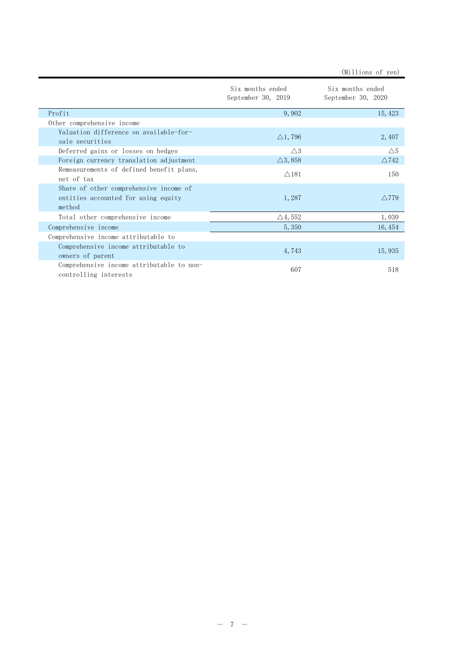|                                                                                         | Six months ended<br>September 30, 2019 | Six months ended<br>September 30, 2020 |
|-----------------------------------------------------------------------------------------|----------------------------------------|----------------------------------------|
| Profit                                                                                  | 9,902                                  | 15, 423                                |
| Other comprehensive income                                                              |                                        |                                        |
| Valuation difference on available-for-<br>sale securities                               | $\triangle$ 1, 796                     | 2, 407                                 |
| Deferred gains or losses on hedges                                                      | $\triangle 3$                          | $\triangle 5$                          |
| Foreign currency translation adjustment                                                 | $\triangle$ 3, 858                     | $\triangle$ 742                        |
| Remeasurements of defined benefit plans,<br>net of tax                                  | $\triangle$ 181                        | 150                                    |
| Share of other comprehensive income of<br>entities accounted for using equity<br>method | 1,287                                  | $\wedge$ 779                           |
| Total other comprehensive income                                                        | $\triangle 4, 552$                     | 1,030                                  |
| Comprehensive income                                                                    | 5, 350                                 | 16, 454                                |
| Comprehensive income attributable to                                                    |                                        |                                        |
| Comprehensive income attributable to<br>owners of parent                                | 4,743                                  | 15,935                                 |
| Comprehensive income attributable to non-<br>controlling interests                      | 607                                    | 518                                    |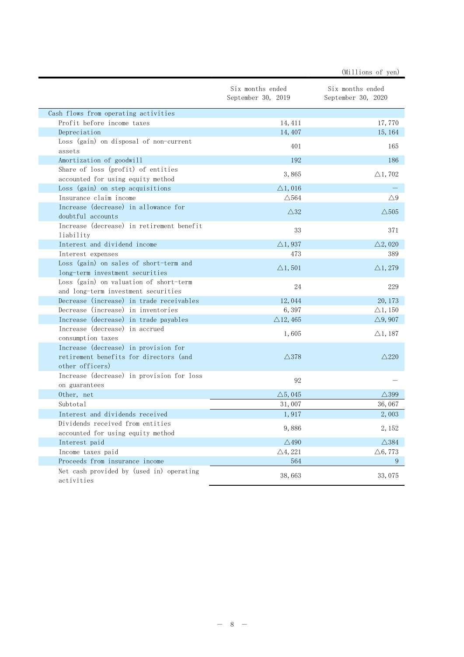|                                                                                                   |                                        | (Millions of yen)                      |
|---------------------------------------------------------------------------------------------------|----------------------------------------|----------------------------------------|
|                                                                                                   | Six months ended<br>September 30, 2019 | Six months ended<br>September 30, 2020 |
| Cash flows from operating activities                                                              |                                        |                                        |
| Profit before income taxes                                                                        | 14, 411                                | 17,770                                 |
| Depreciation                                                                                      | 14, 407                                | 15, 164                                |
| Loss (gain) on disposal of non-current<br>assets                                                  | 401                                    | 165                                    |
| Amortization of goodwill                                                                          | 192                                    | 186                                    |
| Share of loss (profit) of entities<br>accounted for using equity method                           | 3,865                                  | $\triangle$ 1,702                      |
| Loss (gain) on step acquisitions                                                                  | $\triangle$ 1, 016                     |                                        |
| Insurance claim income                                                                            | $\triangle$ 564                        | $\triangle$ 9                          |
| Increase (decrease) in allowance for<br>doubtful accounts                                         | $\triangle 32$                         | $\triangle$ 505                        |
| Increase (decrease) in retirement benefit<br>liability                                            | 33                                     | 371                                    |
| Interest and dividend income                                                                      | $\triangle$ 1, 937                     | $\triangle 2,020$                      |
| Interest expenses                                                                                 | 473                                    | 389                                    |
| Loss (gain) on sales of short-term and<br>long-term investment securities                         | $\triangle$ 1, 501                     | $\triangle$ 1, 279                     |
| Loss (gain) on valuation of short-term<br>and long-term investment securities                     | 24                                     | 229                                    |
| Decrease (increase) in trade receivables                                                          | 12,044                                 | 20, 173                                |
| Decrease (increase) in inventories                                                                | 6,397                                  | $\triangle$ 1, 150                     |
| Increase (decrease) in trade payables                                                             | $\triangle$ 12, 465                    | $\triangle$ 9, 907                     |
| Increase (decrease) in accrued<br>consumption taxes                                               | 1,605                                  | $\triangle$ 1, 187                     |
| Increase (decrease) in provision for<br>retirement benefits for directors (and<br>other officers) | $\triangle$ 378                        | $\triangle$ 220                        |
| Increase (decrease) in provision for loss<br>on guarantees                                        | 92                                     |                                        |
| Other, net                                                                                        | $\triangle 5,045$                      | $\triangle$ 399                        |
| Subtotal                                                                                          | 31,007                                 | 36,067                                 |
| Interest and dividends received                                                                   | 1,917                                  | 2,003                                  |
| Dividends received from entities<br>accounted for using equity method                             | 9,886                                  | 2, 152                                 |
| Interest paid                                                                                     | $\triangle$ 490                        | $\triangle$ 384                        |
| Income taxes paid                                                                                 | $\triangle 4, 221$                     | $\triangle 6, 773$                     |
| Proceeds from insurance income                                                                    | 564                                    | 9                                      |
| Net cash provided by (used in) operating<br>activities                                            | 38,663                                 | 33,075                                 |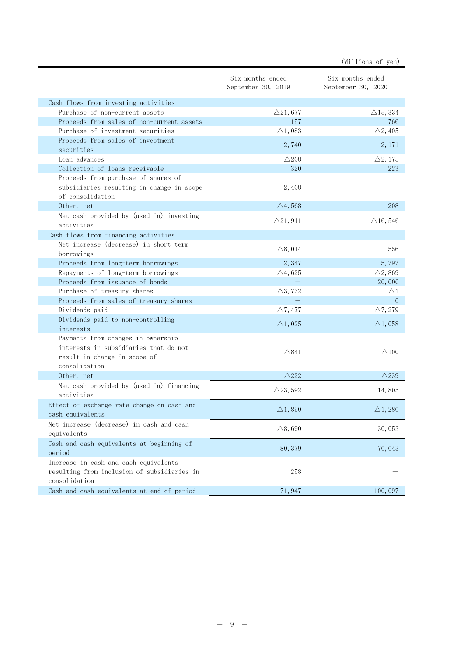|                                                                                                                              |                                        | (Millions of yen)                      |
|------------------------------------------------------------------------------------------------------------------------------|----------------------------------------|----------------------------------------|
|                                                                                                                              | Six months ended<br>September 30, 2019 | Six months ended<br>September 30, 2020 |
| Cash flows from investing activities                                                                                         |                                        |                                        |
| Purchase of non-current assets                                                                                               | $\triangle$ 21,677                     | $\triangle$ 15, 334                    |
| Proceeds from sales of non-current assets                                                                                    | 157                                    | 766                                    |
| Purchase of investment securities                                                                                            | $\triangle$ 1,083                      | $\triangle 2, 405$                     |
| Proceeds from sales of investment                                                                                            | 2,740                                  | 2, 171                                 |
| securities                                                                                                                   |                                        |                                        |
| Loan advances<br>Collection of loans receivable                                                                              | $\triangle 208$<br>320                 | $\triangle 2, 175$<br>223              |
|                                                                                                                              |                                        |                                        |
| Proceeds from purchase of shares of<br>subsidiaries resulting in change in scope<br>of consolidation                         | 2,408                                  |                                        |
| Other, net                                                                                                                   | $\triangle$ 4, 568                     | 208                                    |
| Net cash provided by (used in) investing<br>activities                                                                       | $\triangle$ 21, 911                    | $\triangle$ 16, 546                    |
| Cash flows from financing activities                                                                                         |                                        |                                        |
| Net increase (decrease) in short-term                                                                                        | $\triangle$ 8, 014                     | 556                                    |
| borrowings                                                                                                                   |                                        |                                        |
| Proceeds from long-term borrowings                                                                                           | 2,347                                  | 5,797                                  |
| Repayments of long-term borrowings                                                                                           | $\triangle$ 4, 625                     | $\triangle$ 2, 869                     |
| Proceeds from issuance of bonds                                                                                              |                                        | 20,000                                 |
| Purchase of treasury shares                                                                                                  | $\triangle$ 3, 732                     | $\bigtriangleup 1$                     |
| Proceeds from sales of treasury shares                                                                                       |                                        | $\Omega$                               |
| Dividends paid                                                                                                               | $\triangle 7,477$                      | $\triangle$ 7, 279                     |
| Dividends paid to non-controlling<br>interests                                                                               | $\triangle$ 1,025                      | $\triangle$ 1, 058                     |
| Payments from changes in ownership<br>interests in subsidiaries that do not<br>result in change in scope of<br>consolidation | $\triangle$ 841                        | $\triangle$ 100                        |
| Other, net                                                                                                                   | $\triangle$ 222                        | $\triangle$ 239                        |
| Net cash provided by (used in) financing<br>activities                                                                       | $\triangle$ 23, 592                    | 14,805                                 |
| Effect of exchange rate change on cash and<br>cash equivalents                                                               | $\triangle$ 1,850                      | $\triangle$ 1, 280                     |
| Net increase (decrease) in cash and cash<br>equivalents                                                                      | $\triangle$ 8,690                      | 30,053                                 |
| Cash and cash equivalents at beginning of<br>period                                                                          | 80, 379                                | 70,043                                 |
| Increase in cash and cash equivalents<br>resulting from inclusion of subsidiaries in<br>consolidation                        | 258                                    |                                        |
| Cash and cash equivalents at end of period                                                                                   | 71, 947                                | 100, 097                               |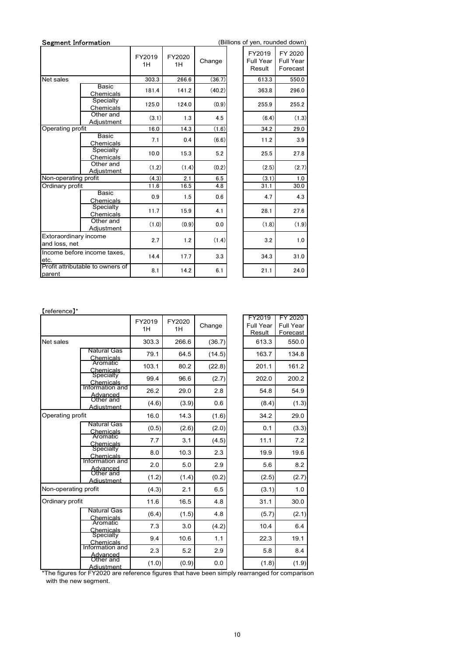| <b>Segment Information</b>             |                                                       |                 |              |        | (Billions of yen, rounded down)      |                                         |
|----------------------------------------|-------------------------------------------------------|-----------------|--------------|--------|--------------------------------------|-----------------------------------------|
|                                        |                                                       | FY2019<br>1H    | FY2020<br>1H | Change | FY2019<br><b>Full Year</b><br>Result | FY 2020<br><b>Full Year</b><br>Forecast |
| Net sales                              |                                                       | 303.3           | 266.6        | (36.7) | 613.3                                | 550.0                                   |
|                                        | Basic                                                 | 181.4           | 141.2        | (40.2) | 363.8                                | 296.0                                   |
|                                        | Chemicals<br>Specialty                                |                 |              |        |                                      |                                         |
|                                        | Chemicals                                             | 125.0           | 124.0        | (0.9)  | 255.9                                | 255.2                                   |
|                                        | Other and<br>Adjustment                               | (3.1)           | 1.3          | 4.5    | (6.4)                                | (1.3)                                   |
| Operating profit                       |                                                       | 16.0            | 14.3         | (1.6)  | 34.2                                 | 29.0                                    |
|                                        | Basic<br>Chemicals                                    | 7.1             | 0.4          | (6.6)  | 11.2                                 | 3.9                                     |
|                                        | Specialty                                             | 10.0            | 15.3         | 5.2    | 25.5                                 | 27.8                                    |
|                                        | Chemicals<br>Other and                                |                 |              |        |                                      |                                         |
|                                        | Adjustment                                            | (1.2)           | (1.4)        | (0.2)  | (2.5)                                | (2.7)                                   |
| Non-operating profit                   |                                                       | (4.3)           | 2.1          | 6.5    | (3.1)                                | 1.0                                     |
| Ordinary profit                        |                                                       | 11.6            | 16.5         | 4.8    | 31.1                                 | 30.0                                    |
|                                        | Basic<br>Chemicals                                    | 0.9             | 1.5          | 0.6    | 4.7                                  | 4.3                                     |
|                                        | Specialty<br>Chemicals                                | 11.7            | 15.9         | 4.1    | 28.1                                 | 27.6                                    |
|                                        | Other and<br><b>Adjustment</b>                        | (1.0)           | (0.9)        | 0.0    | (1.8)                                | (1.9)                                   |
| Extoraordinary income<br>and loss, net |                                                       | 2.7             | $1.2$        | (1.4)  | $3.2\,$                              | 1.0                                     |
| etc.                                   | Income before income taxes,                           | 14.4            | 17.7         | 3.3    | 34.3                                 | 31.0                                    |
| parent                                 | Profit attributable to owners of                      | 8.1             | 14.2         | 6.1    | 21.1                                 | 24.0                                    |
| [reference]*                           |                                                       | FY2019          | FY2020       | Change | FY2019<br>Full Year                  | FY 2020<br>Full Year                    |
|                                        |                                                       | 1H              | 1H           |        | Result                               | Forecast                                |
| Net sales                              | <b>Natural Gas</b>                                    | 303.3           | 266.6        | (36.7) | 613.3                                | 550.0                                   |
|                                        | Chemicals<br>Aromatic                                 | 79.1            | 64.5         | (14.5) | 163.7                                | 134.8                                   |
|                                        | Chemicals<br>Specialty                                | 103.1           | 80.2         | (22.8) | 201.1                                | 161.2                                   |
|                                        |                                                       | 99.4            | 96.6         | (2.7)  | 202.0                                | 200.2                                   |
|                                        | Chemicals<br>Information and<br>Advanced<br>Other and | 26.2            | 29.0         | 2.8    | 54.8                                 | 54.9                                    |
|                                        | Adiustment                                            | (4.6)           | (3.9)        | 0.6    | (8.4)                                | (1.3)                                   |
| Operating profit                       |                                                       | 16 <sub>0</sub> | 14.3         | (1.6)  | 342                                  | 29.0                                    |

| Full Year | <b>Full Year</b> |
|-----------|------------------|
| Result    | Forecast         |
| 613.3     | 550.0            |
| 363.8     | 296.0            |
| 255.9     | 255.2            |
| (6.4)     | (1.3)            |
| 34.2      | 29.0             |
| 11.2      | 3.9              |
| 25.5      | 27.8             |
| (2.5)     | (2.7)            |
| (3.1)     | 1.0              |
| 31.1      | 30.0             |
| 4.7       | 4.3              |
| 28.1      | 27.6             |
| (1.8)     | (1.9)            |
| 3.2       | 1.0              |
| 34.3      | 31.0             |
| 21.1      | 24.0             |

#### 【reference】\*

| Non-operating profit                   |                                                                                               | (4.3)        | 2.1          | 6.5     | (3.1)                                | 1.0                                     |
|----------------------------------------|-----------------------------------------------------------------------------------------------|--------------|--------------|---------|--------------------------------------|-----------------------------------------|
| Ordinary profit                        |                                                                                               | 11.6         | 16.5         | 4.8     | 31.1                                 | 30.0                                    |
|                                        | Basic<br>Chemicals                                                                            | 0.9          | 1.5          | 0.6     | 4.7                                  | 4.3                                     |
|                                        | Specialty<br>Chemicals                                                                        | 11.7         | 15.9         | 4.1     | 28.1                                 | 27.6                                    |
|                                        | Other and<br>Adjustment                                                                       | (1.0)        | (0.9)        | 0.0     | (1.8)                                | (1.9)                                   |
| Extoraordinary income<br>and loss, net |                                                                                               | 2.7          | 1.2          | (1.4)   | 3.2                                  | 1.0                                     |
|                                        | Income before income taxes,                                                                   | 14.4         | 17.7         | 3.3     | 34.3                                 | 31.0                                    |
| etc.                                   | Profit attributable to owners of                                                              | 8.1          | 14.2         | 6.1     | 21.1                                 | 24.0                                    |
| parent                                 |                                                                                               |              |              |         |                                      |                                         |
| [reference]*                           |                                                                                               | FY2019<br>1H | FY2020<br>1H | Change  | FY2019<br><b>Full Year</b><br>Result | FY 2020<br><b>Full Year</b><br>Forecast |
| Net sales                              |                                                                                               | 303.3        | 266.6        | (36.7)  | 613.3                                | 550.0                                   |
|                                        | <b>Natural Gas</b>                                                                            | 79.1         | 64.5         | (14.5)  | 163.7                                | 134.8                                   |
|                                        | Chemicals<br>Aromatic                                                                         | 103.1        | 80.2         | (22.8)  | 201.1                                | 161.2                                   |
|                                        | Chemicals<br>Specialty                                                                        | 99.4         | 96.6         | (2.7)   | 202.0                                | 200.2                                   |
|                                        | Chemicals<br>Information and                                                                  | 26.2         | 29.0         | $2.8\,$ | 54.8                                 | 54.9                                    |
|                                        | Advanced<br>Other and<br>Adiustment                                                           | (4.6)        | (3.9)        | 0.6     | (8.4)                                | (1.3)                                   |
| Operating profit                       |                                                                                               | 16.0         | 14.3         | (1.6)   | 34.2                                 | 29.0                                    |
|                                        | <b>Natural Gas</b>                                                                            | (0.5)        | (2.6)        | (2.0)   | 0.1                                  | (3.3)                                   |
|                                        | Chemicals<br>Aromatic                                                                         | 7.7          | 3.1          | (4.5)   | 11.1                                 | 7.2                                     |
|                                        | Chemicals<br>Specialty                                                                        | 8.0          | 10.3         | 2.3     | 19.9                                 | 19.6                                    |
|                                        | Chemicals<br>Information and                                                                  | 2.0          | 5.0          | 2.9     | 5.6                                  | 8.2                                     |
|                                        | Advanced<br>Other and<br>Adiustment                                                           | (1.2)        | (1.4)        | (0.2)   | (2.5)                                | (2.7)                                   |
| Non-operating profit                   |                                                                                               | (4.3)        | 2.1          | $6.5\,$ | (3.1)                                | 1.0                                     |
| Ordinary profit                        |                                                                                               | 11.6         | 16.5         | 4.8     | 31.1                                 | 30.0                                    |
|                                        | <b>Natural Gas</b><br>Chemicals                                                               | (6.4)        | (1.5)        | 4.8     | (5.7)                                | (2.1)                                   |
|                                        | Aromatic                                                                                      | 7.3          | 3.0          | (4.2)   | 10.4                                 | 6.4                                     |
|                                        | Chemicals<br>Specialty                                                                        | 9.4          | 10.6         | 1.1     | 22.3                                 | 19.1                                    |
|                                        | Chemicals<br>Information and                                                                  | $2.3\,$      | 5.2          | 2.9     | 5.8                                  | 8.4                                     |
|                                        | Advanced<br>Other and<br>Adiustment                                                           | (1.0)        | (0.9)        | 0.0     | (1.8)                                | (1.9)                                   |
|                                        | *The figures for FY2020 are reference figures that have been simply rearranged for comparison |              |              |         |                                      |                                         |
|                                        | with the new segment.                                                                         |              |              |         |                                      |                                         |
|                                        |                                                                                               |              |              |         |                                      |                                         |
|                                        |                                                                                               |              |              |         |                                      |                                         |
|                                        |                                                                                               |              |              |         |                                      |                                         |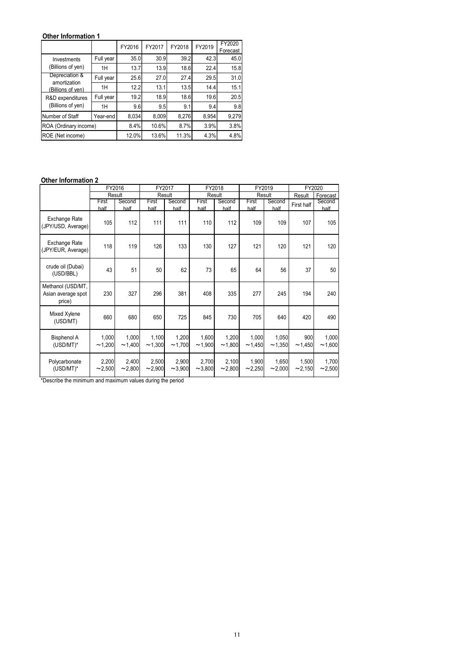## Other Information 1

| Other Information 1                                 |                 |        |                 |        |                 |                    |                           |            |                    |
|-----------------------------------------------------|-----------------|--------|-----------------|--------|-----------------|--------------------|---------------------------|------------|--------------------|
|                                                     |                 | FY2016 | FY2017          | FY2018 | FY2019          | FY2020<br>Forecast |                           |            |                    |
| Investments                                         | Full year       | 35.0   | 30.9            | 39.2   | 42.3            | 45.0               |                           |            |                    |
| (Billions of yen)                                   | 1H              | 13.7   | 13.9            | 18.6   | 22.4            | 15.8               |                           |            |                    |
| Depreciation &<br>amortization                      | Full year       | 25.6   | 27.0            | 27.4   | 29.5            | 31.0               |                           |            |                    |
| (Billions of ven)                                   | 1H              | 12.2   | 13.1            | 13.5   | 14.4            | 15.1               |                           |            |                    |
| R&D expenditures                                    | Full year       | 19.2   | 18.9            | 18.6   | 19.6            | 20.5               |                           |            |                    |
|                                                     |                 |        |                 |        |                 |                    |                           |            |                    |
| (Billions of yen)                                   | 1H              | 9.6    | 9.5             | 9.1    | 9.4             | 9.8                |                           |            |                    |
| Number of Staff                                     | Year-end        | 8,034  | 8,009           | 8,276  | 8,954           | 9,279              |                           |            |                    |
|                                                     |                 | 8.4%   | 10.6%           | 8.7%   | 3.9%            | 3.8%               |                           |            |                    |
|                                                     |                 | 12.0%  | 13.6%           | 11.3%  | 4.3%            | 4.8%               |                           |            |                    |
|                                                     |                 |        |                 |        |                 |                    |                           |            |                    |
|                                                     |                 |        |                 |        |                 |                    |                           |            |                    |
|                                                     |                 |        |                 |        |                 |                    |                           |            |                    |
| ROE (Net income)                                    |                 |        |                 |        |                 |                    |                           |            |                    |
|                                                     | FY2016          |        | FY2017          |        | FY2018          |                    | FY2019                    | FY2020     |                    |
| ROA (Ordinary income)<br><b>Other Information 2</b> | Result<br>First | Second | Result<br>First | Second | Result<br>First | Second             | Result<br>Second<br>First | Result     | Forecast<br>Second |
|                                                     | half            | half   | half            | half   | half            | half               | half<br>half              | First half | half               |
| Exchange Rate<br>(JPY/USD, Average)                 | 105             | 112    | 111             | 111    | 110             | 112                | 109<br>109                | 107        | 105                |

#### Other Information 2

| <b>Other Information 1</b>                        |                  |                 |                  |                 |                 |                    |                 |                  |               |                    |
|---------------------------------------------------|------------------|-----------------|------------------|-----------------|-----------------|--------------------|-----------------|------------------|---------------|--------------------|
|                                                   |                  | FY2016          | FY2017           | FY2018          | FY2019          | FY2020<br>Forecast |                 |                  |               |                    |
| Investments                                       | Full year        | 35.0            | 30.9             | 39.2            | 42.3            | 45.0               |                 |                  |               |                    |
| (Billions of yen)                                 | 1H               | 13.7            | 13.9             | 18.6            | 22.4            | 15.8               |                 |                  |               |                    |
| Depreciation &<br>amortization                    | Full year        | 25.6            | 27.0             | 27.4            | 29.5            | 31.0               |                 |                  |               |                    |
| (Billions of ven)                                 | 1H               | 12.2            | 13.1             | 13.5            | 14.4            | 15.1               |                 |                  |               |                    |
| R&D expenditures                                  | Full year        | 19.2            | 18.9             | 18.6            | 19.6            | 20.5               |                 |                  |               |                    |
| (Billions of yen)                                 | 1H               | 9.6             | 9.5              | 9.1             | 9.4             | 9.8                |                 |                  |               |                    |
| Number of Staff                                   | Year-end         | 8,034           | 8,009            | 8,276           | 8,954           | 9,279              |                 |                  |               |                    |
| ROA (Ordinary income)                             |                  | 8.4%            | 10.6%            | 8.7%            | 3.9%            | 3.8%               |                 |                  |               |                    |
| ROE (Net income)                                  |                  | 12.0%           | 13.6%            | 11.3%           | 4.3%            | 4.8%               |                 |                  |               |                    |
|                                                   |                  |                 |                  |                 |                 |                    |                 |                  |               |                    |
| <b>Other Information 2</b>                        |                  |                 |                  |                 |                 |                    |                 |                  |               |                    |
|                                                   |                  |                 |                  |                 |                 |                    |                 |                  |               |                    |
|                                                   | FY2016<br>Result |                 | FY2017<br>Result |                 |                 | FY2018<br>Result   |                 | FY2019<br>Result | Result        | FY2020<br>Forecast |
|                                                   | First            | Second          | First            | Second          | First           | Second             | First           | Second           | First half    | Second             |
| Exchange Rate<br>(JPY/USD, Average)               | half<br>105      | half<br>112     | half<br>111      | half<br>111     | half<br>110     | half<br>112        | half<br>109     | half<br>109      | 107           | half<br>105        |
| Exchange Rate<br>(JPY/EUR, Average)               | 118              | 119             | 126              | 133             | 130             | 127                | 121             | 120              | 121           | 120                |
| crude oil (Dubai)<br>(USD/BBL)                    | 43               | 51              | 50               | 62              | 73              | 65                 | 64              | 56               | 37            | 50                 |
| Methanol (USD/MT,<br>Asian average spot<br>price) | 230              | 327             | 296              | 381             | 408             | 335                | 277             | 245              | 194           | 240                |
| Mixed Xylene<br>(USD/MT)                          | 660              | 680             | 650              | 725             | 845             | 730                | 705             | 640              | 420           | 490                |
| <b>Bisphenol A</b><br>$(USD/MT)^*$                | 1,000<br>~1,200  | 1,000<br>~1,400 | 1,100<br>~1,300  | 1,200<br>~1,700 | 1,600<br>~1,900 | 1,200<br>~1,800    | 1,000<br>~1,450 | 1,050<br>~1,350  | 900<br>~1,450 | 1,000<br>~1,600    |

\*Describe the minimum and maximum values during the period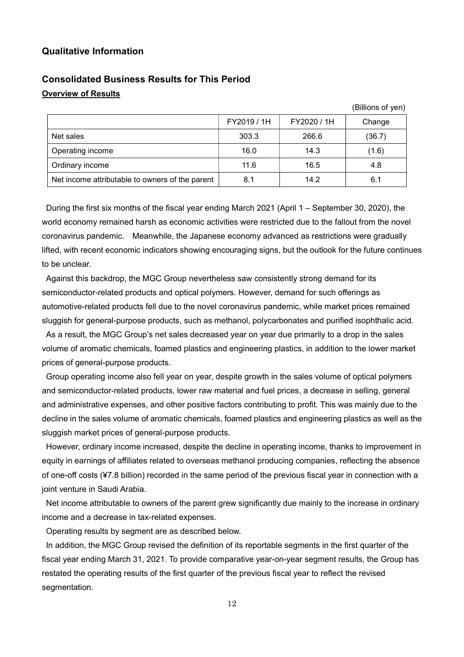## Qualitative Information

## Consolidated Business Results for This Period Overview of Results

|                                                 | FY2019 / 1H | FY2020 / 1H | Change |
|-------------------------------------------------|-------------|-------------|--------|
| Net sales                                       | 303.3       | 266.6       | (36.7) |
| Operating income                                | 16.0        | 14.3        | (1.6)  |
| Ordinary income                                 | 11.6        | 16.5        | 4.8    |
| Net income attributable to owners of the parent | 8.1         | 14.2        | 6.1    |

(Billions of yen)

During the first six months of the fiscal year ending March 2021 (April 1 – September 30, 2020), the world economy remained harsh as economic activities were restricted due to the fallout from the novel coronavirus pandemic. Meanwhile, the Japanese economy advanced as restrictions were gradually lifted, with recent economic indicators showing encouraging signs, but the outlook for the future continues to be unclear.

Against this backdrop, the MGC Group nevertheless saw consistently strong demand for its semiconductor-related products and optical polymers. However, demand for such offerings as automotive-related products fell due to the novel coronavirus pandemic, while market prices remained sluggish for general-purpose products, such as methanol, polycarbonates and purified isophthalic acid.

As a result, the MGC Group's net sales decreased year on year due primarily to a drop in the sales volume of aromatic chemicals, foamed plastics and engineering plastics, in addition to the lower market prices of general-purpose products.

Group operating income also fell year on year, despite growth in the sales volume of optical polymers and semiconductor-related products, lower raw material and fuel prices, a decrease in selling, general and administrative expenses, and other positive factors contributing to profit. This was mainly due to the decline in the sales volume of aromatic chemicals, foamed plastics and engineering plastics as well as the sluggish market prices of general-purpose products.

However, ordinary income increased, despite the decline in operating income, thanks to improvement in equity in earnings of affiliates related to overseas methanol producing companies, reflecting the absence of one-off costs (¥7.8 billion) recorded in the same period of the previous fiscal year in connection with a joint venture in Saudi Arabia.

Net income attributable to owners of the parent grew significantly due mainly to the increase in ordinary income and a decrease in tax-related expenses.

Operating results by segment are as described below.

In addition, the MGC Group revised the definition of its reportable segments in the first quarter of the fiscal year ending March 31, 2021. To provide comparative year-on-year segment results, the Group has restated the operating results of the first quarter of the previous fiscal year to reflect the revised segmentation.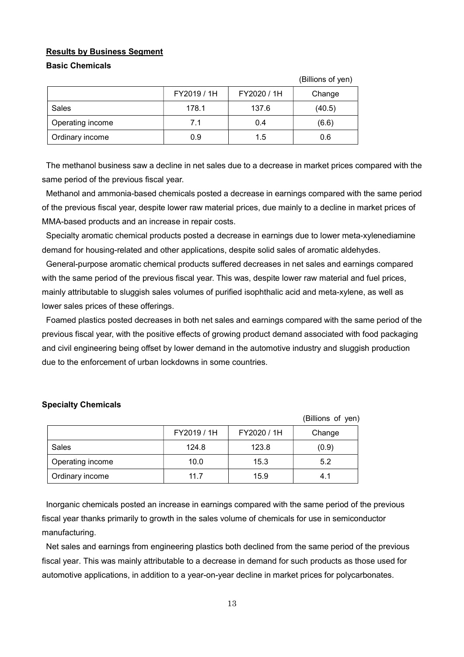#### Results by Business Segment

#### Basic Chemicals

|                  |             |             | (Billions of yen) |
|------------------|-------------|-------------|-------------------|
|                  | FY2019 / 1H | FY2020 / 1H | Change            |
| Sales            | 178.1       | 137.6       | (40.5)            |
| Operating income | 7.1         | 0.4         | (6.6)             |
| Ordinary income  | 0.9         | 1.5         | 0.6               |

The methanol business saw a decline in net sales due to a decrease in market prices compared with the same period of the previous fiscal year.

 $(6.9)$ 

Methanol and ammonia-based chemicals posted a decrease in earnings compared with the same period of the previous fiscal year, despite lower raw material prices, due mainly to a decline in market prices of MMA-based products and an increase in repair costs.

Specialty aromatic chemical products posted a decrease in earnings due to lower meta-xylenediamine demand for housing-related and other applications, despite solid sales of aromatic aldehydes.

General-purpose aromatic chemical products suffered decreases in net sales and earnings compared with the same period of the previous fiscal year. This was, despite lower raw material and fuel prices, mainly attributable to sluggish sales volumes of purified isophthalic acid and meta-xylene, as well as lower sales prices of these offerings.

Foamed plastics posted decreases in both net sales and earnings compared with the same period of the previous fiscal year, with the positive effects of growing product demand associated with food packaging and civil engineering being offset by lower demand in the automotive industry and sluggish production due to the enforcement of urban lockdowns in some countries.

|                  |             |             | (Billions of yen) |
|------------------|-------------|-------------|-------------------|
|                  | FY2019 / 1H | FY2020 / 1H | Change            |
| Sales            | 124.8       | 123.8       | (0.9)             |
| Operating income | 10.0        | 15.3        | 5.2               |
| Ordinary income  | 11.7        | 15.9        | 4.1               |

#### Specialty Chemicals

Inorganic chemicals posted an increase in earnings compared with the same period of the previous fiscal year thanks primarily to growth in the sales volume of chemicals for use in semiconductor manufacturing.

Net sales and earnings from engineering plastics both declined from the same period of the previous fiscal year. This was mainly attributable to a decrease in demand for such products as those used for automotive applications, in addition to a year-on-year decline in market prices for polycarbonates.